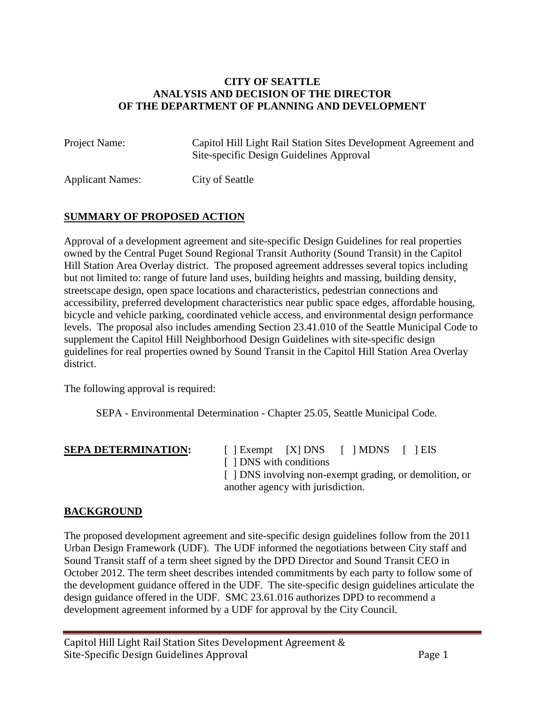#### **CITY OF SEATTLE ANALYSIS AND DECISION OF THE DIRECTOR OF THE DEPARTMENT OF PLANNING AND DEVELOPMENT**

Project Name: Capitol Hill Light Rail Station Sites Development Agreement and Site-specific Design Guidelines Approval

Applicant Names: City of Seattle

## **SUMMARY OF PROPOSED ACTION**

Approval of a development agreement and site-specific Design Guidelines for real properties owned by the Central Puget Sound Regional Transit Authority (Sound Transit) in the Capitol Hill Station Area Overlay district. The proposed agreement addresses several topics including but not limited to: range of future land uses, building heights and massing, building density, streetscape design, open space locations and characteristics, pedestrian connections and accessibility, preferred development characteristics near public space edges, affordable housing, bicycle and vehicle parking, coordinated vehicle access, and environmental design performance levels. The proposal also includes amending Section 23.41.010 of the Seattle Municipal Code to supplement the Capitol Hill Neighborhood Design Guidelines with site-specific design guidelines for real properties owned by Sound Transit in the Capitol Hill Station Area Overlay district.

The following approval is required:

SEPA - Environmental Determination - Chapter 25.05, Seattle Municipal Code.

**SEPA DETERMINATION:** [ ] Exempt [X] DNS [ ] MDNS [ ] EIS [  $\vert$  DNS with conditions [  $\vert$  DNS involving non-exempt grading, or demolition, or another agency with jurisdiction.

## **BACKGROUND**

The proposed development agreement and site-specific design guidelines follow from the 2011 Urban Design Framework (UDF). The UDF informed the negotiations between City staff and Sound Transit staff of a term sheet signed by the DPD Director and Sound Transit CEO in October 2012. The term sheet describes intended commitments by each party to follow some of the development guidance offered in the UDF. The site-specific design guidelines articulate the design guidance offered in the UDF. SMC 23.61.016 authorizes DPD to recommend a development agreement informed by a UDF for approval by the City Council.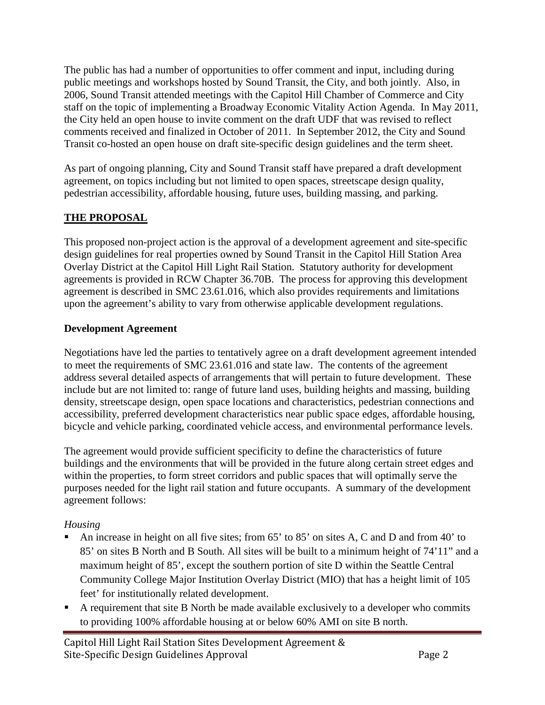The public has had a number of opportunities to offer comment and input, including during public meetings and workshops hosted by Sound Transit, the City, and both jointly. Also, in 2006, Sound Transit attended meetings with the Capitol Hill Chamber of Commerce and City staff on the topic of implementing a Broadway Economic Vitality Action Agenda. In May 2011, the City held an open house to invite comment on the draft UDF that was revised to reflect comments received and finalized in October of 2011. In September 2012, the City and Sound Transit co-hosted an open house on draft site-specific design guidelines and the term sheet.

As part of ongoing planning, City and Sound Transit staff have prepared a draft development agreement, on topics including but not limited to open spaces, streetscape design quality, pedestrian accessibility, affordable housing, future uses, building massing, and parking.

## **THE PROPOSAL**

This proposed non-project action is the approval of a development agreement and site-specific design guidelines for real properties owned by Sound Transit in the Capitol Hill Station Area Overlay District at the Capitol Hill Light Rail Station. Statutory authority for development agreements is provided in RCW Chapter 36.70B. The process for approving this development agreement is described in SMC 23.61.016, which also provides requirements and limitations upon the agreement's ability to vary from otherwise applicable development regulations.

## **Development Agreement**

Negotiations have led the parties to tentatively agree on a draft development agreement intended to meet the requirements of SMC 23.61.016 and state law. The contents of the agreement address several detailed aspects of arrangements that will pertain to future development. These include but are not limited to: range of future land uses, building heights and massing, building density, streetscape design, open space locations and characteristics, pedestrian connections and accessibility, preferred development characteristics near public space edges, affordable housing, bicycle and vehicle parking, coordinated vehicle access, and environmental performance levels.

The agreement would provide sufficient specificity to define the characteristics of future buildings and the environments that will be provided in the future along certain street edges and within the properties, to form street corridors and public spaces that will optimally serve the purposes needed for the light rail station and future occupants. A summary of the development agreement follows:

## *Housing*

- An increase in height on all five sites; from 65' to 85' on sites A, C and D and from 40' to 85' on sites B North and B South. All sites will be built to a minimum height of 74'11" and a maximum height of 85', except the southern portion of site D within the Seattle Central Community College Major Institution Overlay District (MIO) that has a height limit of 105 feet' for institutionally related development.
- A requirement that site B North be made available exclusively to a developer who commits to providing 100% affordable housing at or below 60% AMI on site B north.

Capitol Hill Light Rail Station Sites Development Agreement & Site-Specific Design Guidelines Approval Page 2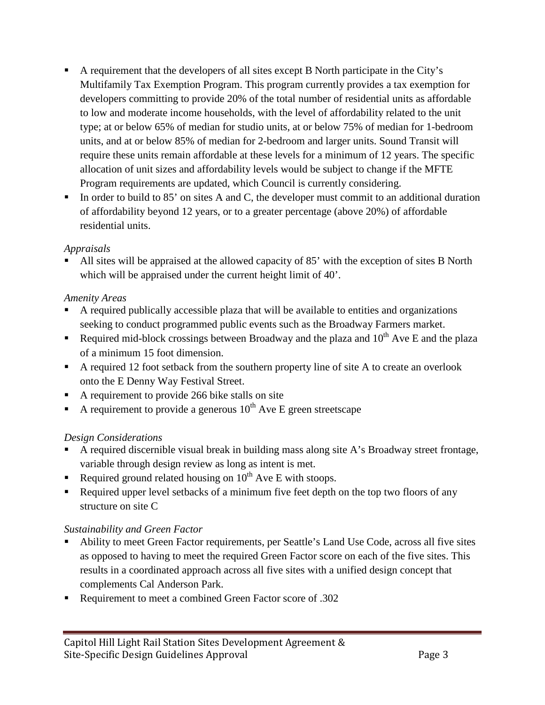- A requirement that the developers of all sites except B North participate in the City's Multifamily Tax Exemption Program. This program currently provides a tax exemption for developers committing to provide 20% of the total number of residential units as affordable to low and moderate income households, with the level of affordability related to the unit type; at or below 65% of median for studio units, at or below 75% of median for 1-bedroom units, and at or below 85% of median for 2-bedroom and larger units. Sound Transit will require these units remain affordable at these levels for a minimum of 12 years. The specific allocation of unit sizes and affordability levels would be subject to change if the MFTE Program requirements are updated, which Council is currently considering.
- In order to build to 85' on sites A and C, the developer must commit to an additional duration of affordability beyond 12 years, or to a greater percentage (above 20%) of affordable residential units.

## *Appraisals*

 All sites will be appraised at the allowed capacity of 85' with the exception of sites B North which will be appraised under the current height limit of 40'.

## *Amenity Areas*

- A required publically accessible plaza that will be available to entities and organizations seeking to conduct programmed public events such as the Broadway Farmers market.
- Required mid-block crossings between Broadway and the plaza and  $10^{th}$  Ave E and the plaza of a minimum 15 foot dimension.
- A required 12 foot setback from the southern property line of site A to create an overlook onto the E Denny Way Festival Street.
- A requirement to provide 266 bike stalls on site
- A requirement to provide a generous  $10^{th}$  Ave E green streetscape

## *Design Considerations*

- A required discernible visual break in building mass along site A's Broadway street frontage, variable through design review as long as intent is met.
- Required ground related housing on  $10^{th}$  Ave E with stoops.
- Required upper level setbacks of a minimum five feet depth on the top two floors of any structure on site C

## *Sustainability and Green Factor*

- Ability to meet Green Factor requirements, per Seattle's Land Use Code, across all five sites as opposed to having to meet the required Green Factor score on each of the five sites. This results in a coordinated approach across all five sites with a unified design concept that complements Cal Anderson Park.
- Requirement to meet a combined Green Factor score of .302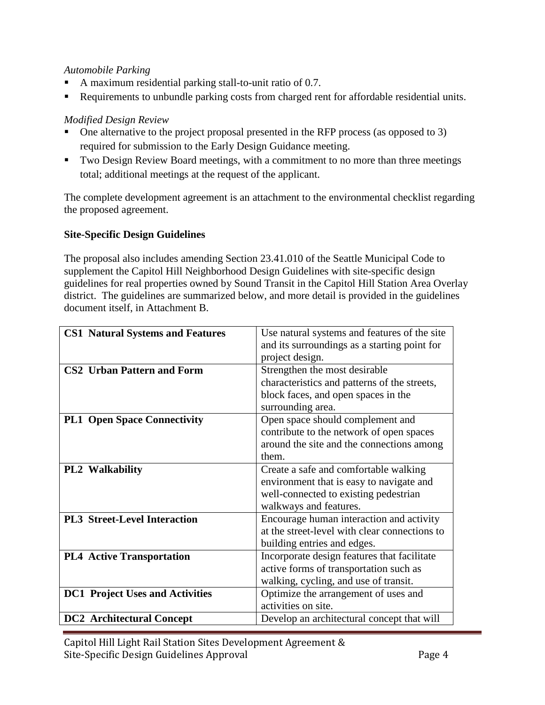## *Automobile Parking*

- A maximum residential parking stall-to-unit ratio of 0.7.
- Requirements to unbundle parking costs from charged rent for affordable residential units.

## *Modified Design Review*

- One alternative to the project proposal presented in the RFP process (as opposed to 3) required for submission to the Early Design Guidance meeting.
- Two Design Review Board meetings, with a commitment to no more than three meetings total; additional meetings at the request of the applicant.

The complete development agreement is an attachment to the environmental checklist regarding the proposed agreement.

## **Site-Specific Design Guidelines**

The proposal also includes amending Section 23.41.010 of the Seattle Municipal Code to supplement the Capitol Hill Neighborhood Design Guidelines with site-specific design guidelines for real properties owned by Sound Transit in the Capitol Hill Station Area Overlay district. The guidelines are summarized below, and more detail is provided in the guidelines document itself, in Attachment B.

| <b>CS1 Natural Systems and Features</b> | Use natural systems and features of the site  |
|-----------------------------------------|-----------------------------------------------|
|                                         | and its surroundings as a starting point for  |
|                                         | project design.                               |
| <b>CS2 Urban Pattern and Form</b>       | Strengthen the most desirable                 |
|                                         | characteristics and patterns of the streets,  |
|                                         | block faces, and open spaces in the           |
|                                         | surrounding area.                             |
| <b>PL1 Open Space Connectivity</b>      | Open space should complement and              |
|                                         | contribute to the network of open spaces      |
|                                         | around the site and the connections among     |
|                                         | them.                                         |
| <b>PL2</b> Walkability                  | Create a safe and comfortable walking         |
|                                         | environment that is easy to navigate and      |
|                                         | well-connected to existing pedestrian         |
|                                         | walkways and features.                        |
| <b>PL3 Street-Level Interaction</b>     | Encourage human interaction and activity      |
|                                         | at the street-level with clear connections to |
|                                         | building entries and edges.                   |
| <b>PL4 Active Transportation</b>        | Incorporate design features that facilitate   |
|                                         | active forms of transportation such as        |
|                                         | walking, cycling, and use of transit.         |
| <b>DC1</b> Project Uses and Activities  | Optimize the arrangement of uses and          |
|                                         | activities on site.                           |
| <b>DC2</b> Architectural Concept        | Develop an architectural concept that will    |

Capitol Hill Light Rail Station Sites Development Agreement & Site-Specific Design Guidelines Approval Page 4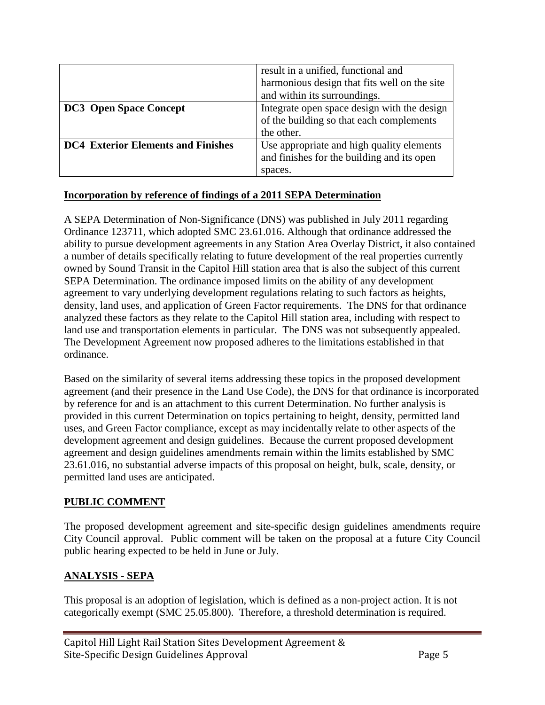|                                           | result in a unified, functional and          |
|-------------------------------------------|----------------------------------------------|
|                                           | harmonious design that fits well on the site |
|                                           | and within its surroundings.                 |
| <b>DC3</b> Open Space Concept             | Integrate open space design with the design  |
|                                           | of the building so that each complements     |
|                                           | the other.                                   |
| <b>DC4 Exterior Elements and Finishes</b> | Use appropriate and high quality elements    |
|                                           | and finishes for the building and its open   |
|                                           | spaces.                                      |

## **Incorporation by reference of findings of a 2011 SEPA Determination**

A SEPA Determination of Non-Significance (DNS) was published in July 2011 regarding Ordinance 123711, which adopted SMC 23.61.016. Although that ordinance addressed the ability to pursue development agreements in any Station Area Overlay District, it also contained a number of details specifically relating to future development of the real properties currently owned by Sound Transit in the Capitol Hill station area that is also the subject of this current SEPA Determination. The ordinance imposed limits on the ability of any development agreement to vary underlying development regulations relating to such factors as heights, density, land uses, and application of Green Factor requirements. The DNS for that ordinance analyzed these factors as they relate to the Capitol Hill station area, including with respect to land use and transportation elements in particular. The DNS was not subsequently appealed. The Development Agreement now proposed adheres to the limitations established in that ordinance.

Based on the similarity of several items addressing these topics in the proposed development agreement (and their presence in the Land Use Code), the DNS for that ordinance is incorporated by reference for and is an attachment to this current Determination. No further analysis is provided in this current Determination on topics pertaining to height, density, permitted land uses, and Green Factor compliance, except as may incidentally relate to other aspects of the development agreement and design guidelines. Because the current proposed development agreement and design guidelines amendments remain within the limits established by SMC 23.61.016, no substantial adverse impacts of this proposal on height, bulk, scale, density, or permitted land uses are anticipated.

## **PUBLIC COMMENT**

The proposed development agreement and site-specific design guidelines amendments require City Council approval. Public comment will be taken on the proposal at a future City Council public hearing expected to be held in June or July.

## **ANALYSIS - SEPA**

This proposal is an adoption of legislation, which is defined as a non-project action. It is not categorically exempt (SMC 25.05.800). Therefore, a threshold determination is required.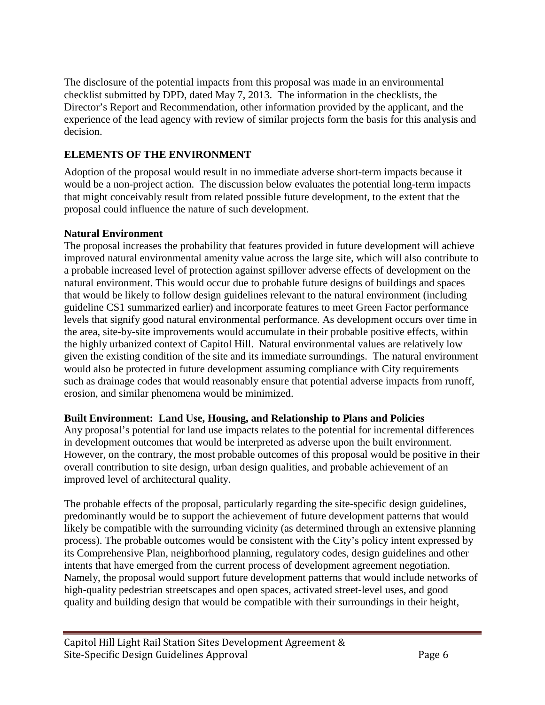The disclosure of the potential impacts from this proposal was made in an environmental checklist submitted by DPD, dated May 7, 2013. The information in the checklists, the Director's Report and Recommendation, other information provided by the applicant, and the experience of the lead agency with review of similar projects form the basis for this analysis and decision.

## **ELEMENTS OF THE ENVIRONMENT**

Adoption of the proposal would result in no immediate adverse short-term impacts because it would be a non-project action. The discussion below evaluates the potential long-term impacts that might conceivably result from related possible future development, to the extent that the proposal could influence the nature of such development.

## **Natural Environment**

The proposal increases the probability that features provided in future development will achieve improved natural environmental amenity value across the large site, which will also contribute to a probable increased level of protection against spillover adverse effects of development on the natural environment. This would occur due to probable future designs of buildings and spaces that would be likely to follow design guidelines relevant to the natural environment (including guideline CS1 summarized earlier) and incorporate features to meet Green Factor performance levels that signify good natural environmental performance. As development occurs over time in the area, site-by-site improvements would accumulate in their probable positive effects, within the highly urbanized context of Capitol Hill. Natural environmental values are relatively low given the existing condition of the site and its immediate surroundings. The natural environment would also be protected in future development assuming compliance with City requirements such as drainage codes that would reasonably ensure that potential adverse impacts from runoff, erosion, and similar phenomena would be minimized.

## **Built Environment: Land Use, Housing, and Relationship to Plans and Policies**

Any proposal's potential for land use impacts relates to the potential for incremental differences in development outcomes that would be interpreted as adverse upon the built environment. However, on the contrary, the most probable outcomes of this proposal would be positive in their overall contribution to site design, urban design qualities, and probable achievement of an improved level of architectural quality.

The probable effects of the proposal, particularly regarding the site-specific design guidelines, predominantly would be to support the achievement of future development patterns that would likely be compatible with the surrounding vicinity (as determined through an extensive planning process). The probable outcomes would be consistent with the City's policy intent expressed by its Comprehensive Plan, neighborhood planning, regulatory codes, design guidelines and other intents that have emerged from the current process of development agreement negotiation. Namely, the proposal would support future development patterns that would include networks of high-quality pedestrian streetscapes and open spaces, activated street-level uses, and good quality and building design that would be compatible with their surroundings in their height,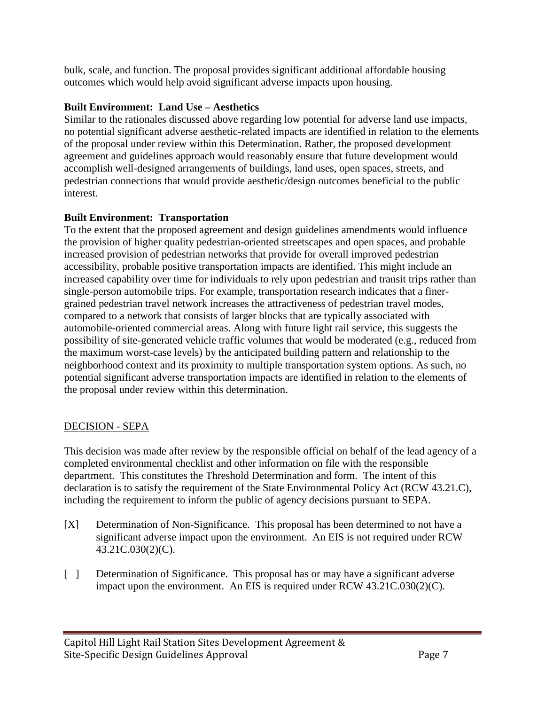bulk, scale, and function. The proposal provides significant additional affordable housing outcomes which would help avoid significant adverse impacts upon housing.

## **Built Environment: Land Use – Aesthetics**

Similar to the rationales discussed above regarding low potential for adverse land use impacts, no potential significant adverse aesthetic-related impacts are identified in relation to the elements of the proposal under review within this Determination. Rather, the proposed development agreement and guidelines approach would reasonably ensure that future development would accomplish well-designed arrangements of buildings, land uses, open spaces, streets, and pedestrian connections that would provide aesthetic/design outcomes beneficial to the public interest.

## **Built Environment: Transportation**

To the extent that the proposed agreement and design guidelines amendments would influence the provision of higher quality pedestrian-oriented streetscapes and open spaces, and probable increased provision of pedestrian networks that provide for overall improved pedestrian accessibility, probable positive transportation impacts are identified. This might include an increased capability over time for individuals to rely upon pedestrian and transit trips rather than single-person automobile trips. For example, transportation research indicates that a finergrained pedestrian travel network increases the attractiveness of pedestrian travel modes, compared to a network that consists of larger blocks that are typically associated with automobile-oriented commercial areas. Along with future light rail service, this suggests the possibility of site-generated vehicle traffic volumes that would be moderated (e.g., reduced from the maximum worst-case levels) by the anticipated building pattern and relationship to the neighborhood context and its proximity to multiple transportation system options. As such, no potential significant adverse transportation impacts are identified in relation to the elements of the proposal under review within this determination.

## DECISION - SEPA

This decision was made after review by the responsible official on behalf of the lead agency of a completed environmental checklist and other information on file with the responsible department. This constitutes the Threshold Determination and form. The intent of this declaration is to satisfy the requirement of the State Environmental Policy Act (RCW 43.21.C), including the requirement to inform the public of agency decisions pursuant to SEPA.

- [X] Determination of Non-Significance. This proposal has been determined to not have a significant adverse impact upon the environment. An EIS is not required under RCW 43.21C.030(2)(C).
- [ ] Determination of Significance. This proposal has or may have a significant adverse impact upon the environment. An EIS is required under RCW 43.21C.030(2)(C).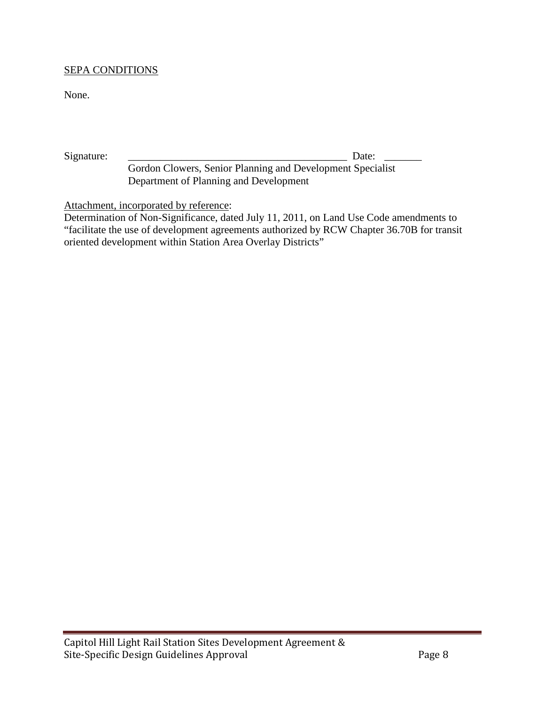#### SEPA CONDITIONS

None.

Signature: \_\_\_\_\_\_\_\_\_\_\_\_\_\_\_\_\_\_\_\_\_\_\_\_\_\_\_\_\_\_\_\_\_\_\_\_\_\_\_\_\_ Date: \_\_\_\_\_\_\_

Gordon Clowers, Senior Planning and Development Specialist Department of Planning and Development

Attachment, incorporated by reference:

Determination of Non-Significance, dated July 11, 2011, on Land Use Code amendments to "facilitate the use of development agreements authorized by RCW Chapter 36.70B for transit oriented development within Station Area Overlay Districts"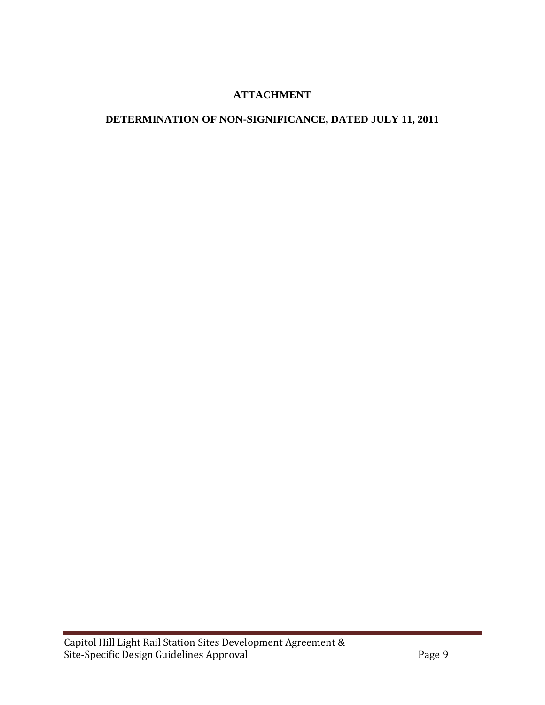## **ATTACHMENT**

## **DETERMINATION OF NON-SIGNIFICANCE, DATED JULY 11, 2011**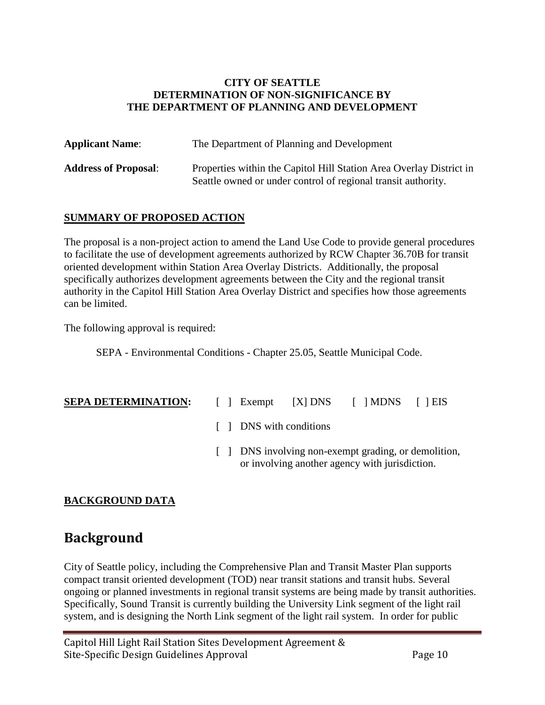#### **CITY OF SEATTLE DETERMINATION OF NON-SIGNIFICANCE BY THE DEPARTMENT OF PLANNING AND DEVELOPMENT**

| <b>Applicant Name:</b>      | The Department of Planning and Development                                                                                           |
|-----------------------------|--------------------------------------------------------------------------------------------------------------------------------------|
| <b>Address of Proposal:</b> | Properties within the Capitol Hill Station Area Overlay District in<br>Seattle owned or under control of regional transit authority. |

## **SUMMARY OF PROPOSED ACTION**

The proposal is a non-project action to amend the Land Use Code to provide general procedures to facilitate the use of development agreements authorized by RCW Chapter 36.70B for transit oriented development within Station Area Overlay Districts. Additionally, the proposal specifically authorizes development agreements between the City and the regional transit authority in the Capitol Hill Station Area Overlay District and specifies how those agreements can be limited.

The following approval is required:

SEPA - Environmental Conditions - Chapter 25.05, Seattle Municipal Code.

- **SEPA DETERMINATION:** [ ] Exempt [X] DNS [ ] MDNS [ ] EIS
	- [ ] DNS with conditions
	- [ ] DNS involving non-exempt grading, or demolition, or involving another agency with jurisdiction.

## **BACKGROUND DATA**

# **Background**

City of Seattle policy, including the Comprehensive Plan and Transit Master Plan supports compact transit oriented development (TOD) near transit stations and transit hubs. Several ongoing or planned investments in regional transit systems are being made by transit authorities. Specifically, Sound Transit is currently building the University Link segment of the light rail system, and is designing the North Link segment of the light rail system. In order for public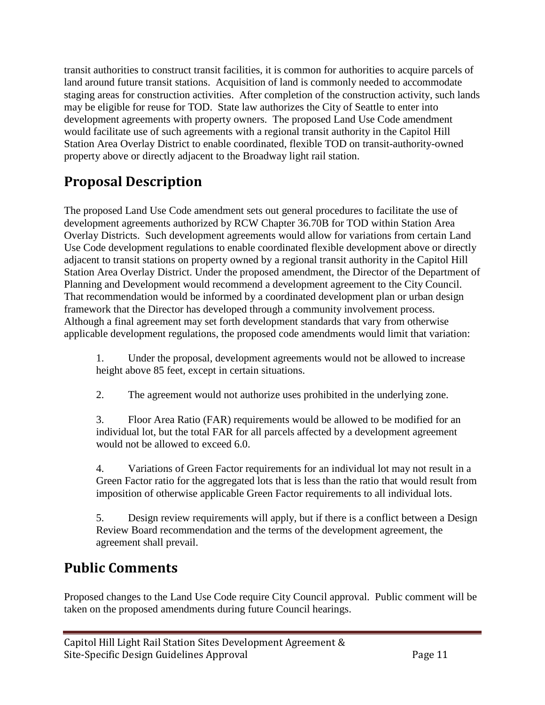transit authorities to construct transit facilities, it is common for authorities to acquire parcels of land around future transit stations. Acquisition of land is commonly needed to accommodate staging areas for construction activities. After completion of the construction activity, such lands may be eligible for reuse for TOD. State law authorizes the City of Seattle to enter into development agreements with property owners. The proposed Land Use Code amendment would facilitate use of such agreements with a regional transit authority in the Capitol Hill Station Area Overlay District to enable coordinated, flexible TOD on transit-authority-owned property above or directly adjacent to the Broadway light rail station.

# **Proposal Description**

The proposed Land Use Code amendment sets out general procedures to facilitate the use of development agreements authorized by RCW Chapter 36.70B for TOD within Station Area Overlay Districts. Such development agreements would allow for variations from certain Land Use Code development regulations to enable coordinated flexible development above or directly adjacent to transit stations on property owned by a regional transit authority in the Capitol Hill Station Area Overlay District. Under the proposed amendment, the Director of the Department of Planning and Development would recommend a development agreement to the City Council. That recommendation would be informed by a coordinated development plan or urban design framework that the Director has developed through a community involvement process. Although a final agreement may set forth development standards that vary from otherwise applicable development regulations, the proposed code amendments would limit that variation:

1. Under the proposal, development agreements would not be allowed to increase height above 85 feet, except in certain situations.

2. The agreement would not authorize uses prohibited in the underlying zone.

3. Floor Area Ratio (FAR) requirements would be allowed to be modified for an individual lot, but the total FAR for all parcels affected by a development agreement would not be allowed to exceed 6.0.

4. Variations of Green Factor requirements for an individual lot may not result in a Green Factor ratio for the aggregated lots that is less than the ratio that would result from imposition of otherwise applicable Green Factor requirements to all individual lots.

5. Design review requirements will apply, but if there is a conflict between a Design Review Board recommendation and the terms of the development agreement, the agreement shall prevail.

# **Public Comments**

Proposed changes to the Land Use Code require City Council approval. Public comment will be taken on the proposed amendments during future Council hearings.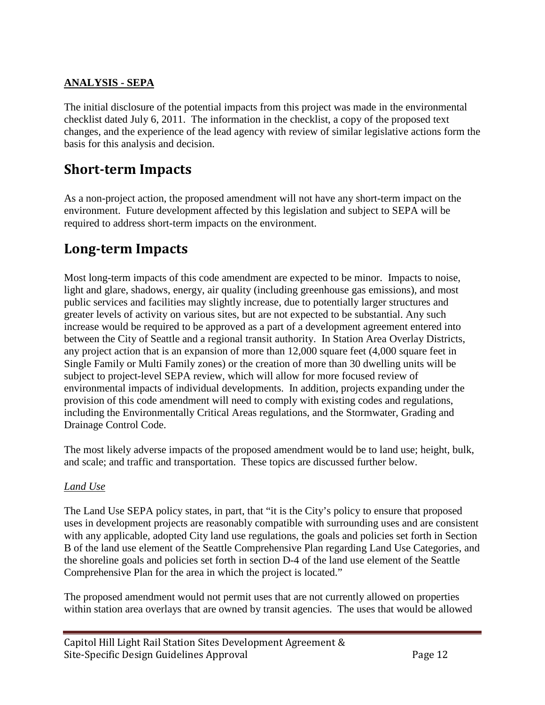## **ANALYSIS - SEPA**

The initial disclosure of the potential impacts from this project was made in the environmental checklist dated July 6, 2011. The information in the checklist, a copy of the proposed text changes, and the experience of the lead agency with review of similar legislative actions form the basis for this analysis and decision.

# **Short-term Impacts**

As a non-project action, the proposed amendment will not have any short-term impact on the environment. Future development affected by this legislation and subject to SEPA will be required to address short-term impacts on the environment.

# **Long-term Impacts**

Most long-term impacts of this code amendment are expected to be minor. Impacts to noise, light and glare, shadows, energy, air quality (including greenhouse gas emissions), and most public services and facilities may slightly increase, due to potentially larger structures and greater levels of activity on various sites, but are not expected to be substantial. Any such increase would be required to be approved as a part of a development agreement entered into between the City of Seattle and a regional transit authority. In Station Area Overlay Districts, any project action that is an expansion of more than 12,000 square feet (4,000 square feet in Single Family or Multi Family zones) or the creation of more than 30 dwelling units will be subject to project-level SEPA review, which will allow for more focused review of environmental impacts of individual developments. In addition, projects expanding under the provision of this code amendment will need to comply with existing codes and regulations, including the Environmentally Critical Areas regulations, and the Stormwater, Grading and Drainage Control Code.

The most likely adverse impacts of the proposed amendment would be to land use; height, bulk, and scale; and traffic and transportation. These topics are discussed further below.

## *Land Use*

The Land Use SEPA policy states, in part, that "it is the City's policy to ensure that proposed uses in development projects are reasonably compatible with surrounding uses and are consistent with any applicable, adopted City land use regulations, the goals and policies set forth in Section B of the land use element of the Seattle Comprehensive Plan regarding Land Use Categories, and the shoreline goals and policies set forth in section D-4 of the land use element of the Seattle Comprehensive Plan for the area in which the project is located."

The proposed amendment would not permit uses that are not currently allowed on properties within station area overlays that are owned by transit agencies. The uses that would be allowed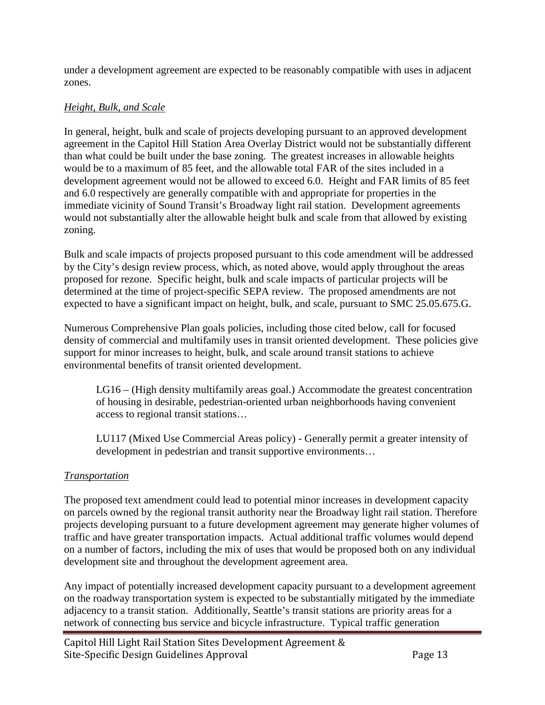under a development agreement are expected to be reasonably compatible with uses in adjacent zones.

## *Height, Bulk, and Scale*

In general, height, bulk and scale of projects developing pursuant to an approved development agreement in the Capitol Hill Station Area Overlay District would not be substantially different than what could be built under the base zoning. The greatest increases in allowable heights would be to a maximum of 85 feet, and the allowable total FAR of the sites included in a development agreement would not be allowed to exceed 6.0. Height and FAR limits of 85 feet and 6.0 respectively are generally compatible with and appropriate for properties in the immediate vicinity of Sound Transit's Broadway light rail station. Development agreements would not substantially alter the allowable height bulk and scale from that allowed by existing zoning.

Bulk and scale impacts of projects proposed pursuant to this code amendment will be addressed by the City's design review process, which, as noted above, would apply throughout the areas proposed for rezone. Specific height, bulk and scale impacts of particular projects will be determined at the time of project-specific SEPA review. The proposed amendments are not expected to have a significant impact on height, bulk, and scale, pursuant to SMC 25.05.675.G.

Numerous Comprehensive Plan goals policies, including those cited below, call for focused density of commercial and multifamily uses in transit oriented development. These policies give support for minor increases to height, bulk, and scale around transit stations to achieve environmental benefits of transit oriented development.

LG16 – (High density multifamily areas goal.) Accommodate the greatest concentration of housing in desirable, pedestrian-oriented urban neighborhoods having convenient access to regional transit stations…

LU117 (Mixed Use Commercial Areas policy) - Generally permit a greater intensity of development in pedestrian and transit supportive environments…

## *Transportation*

The proposed text amendment could lead to potential minor increases in development capacity on parcels owned by the regional transit authority near the Broadway light rail station. Therefore projects developing pursuant to a future development agreement may generate higher volumes of traffic and have greater transportation impacts. Actual additional traffic volumes would depend on a number of factors, including the mix of uses that would be proposed both on any individual development site and throughout the development agreement area.

Any impact of potentially increased development capacity pursuant to a development agreement on the roadway transportation system is expected to be substantially mitigated by the immediate adjacency to a transit station. Additionally, Seattle's transit stations are priority areas for a network of connecting bus service and bicycle infrastructure. Typical traffic generation